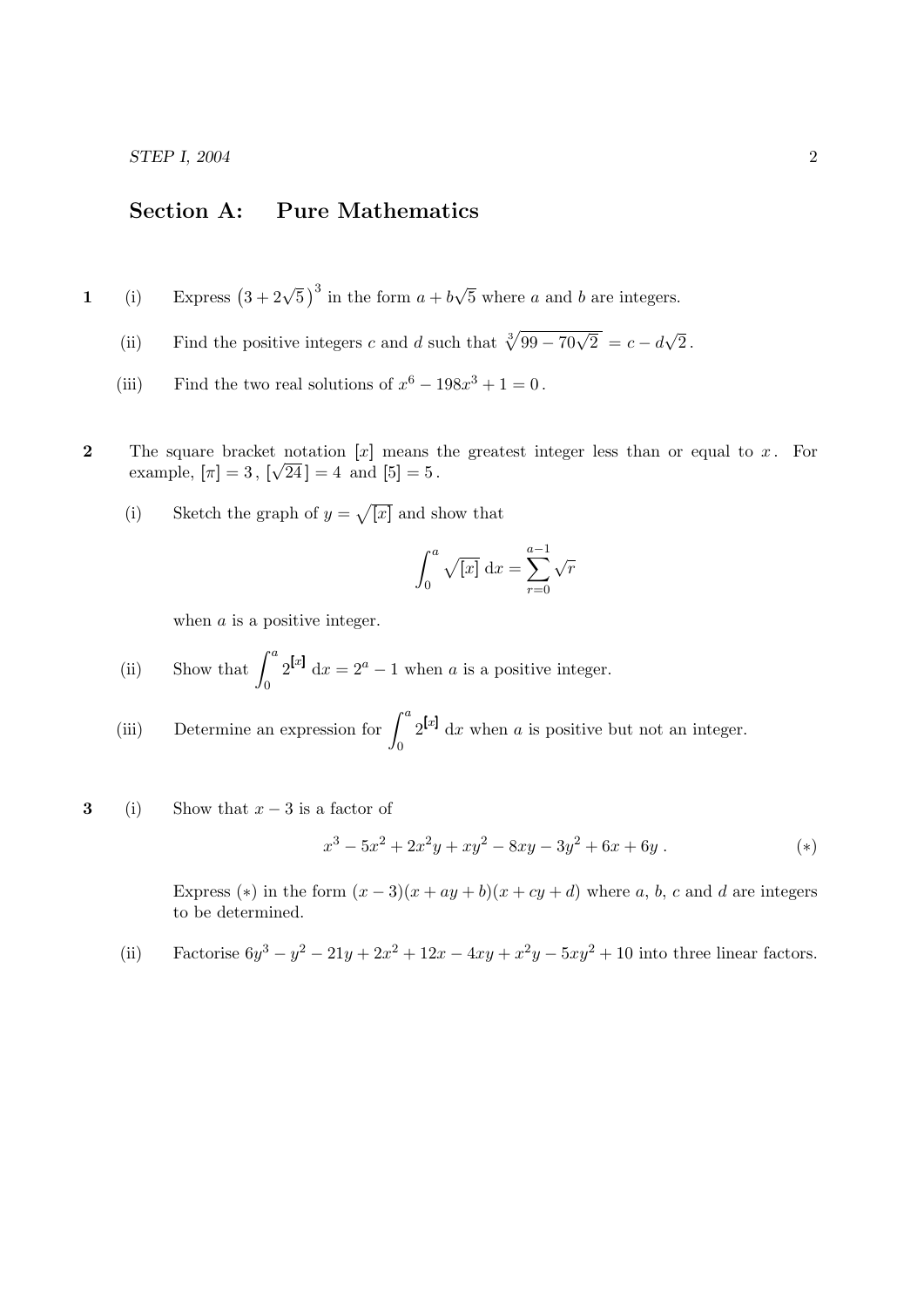## Section A: Pure Mathematics

- 1 (i) Express  $(3+2\sqrt{5})^3$  in the form  $a+b$ √ 5 where a and b are integers.
	- (ii) Find the positive integers c and d such that  $\sqrt[3]{99-70\sqrt{2}} = c d$ √ 2 .
	- (iii) Find the two real solutions of  $x^6 198x^3 + 1 = 0$ .
- 2 The square bracket notation [x] means the greatest integer less than or equal to x. For example,  $[\pi] = 3$ ,  $[\sqrt{24}] = 4$  and  $[5] = 5$ .
	- (i) Sketch the graph of  $y = \sqrt{x}$  and show that

$$
\int_0^a \sqrt{[x]} \, \mathrm{d}x = \sum_{r=0}^{a-1} \sqrt{r}
$$

when  $a$  is a positive integer.

- (ii) Show that  $\int^a$  $\mathbf{0}$  $2^{[x]} dx = 2^a - 1$  when a is a positive integer.
- (iii) Determine an expression for  $\int_a^a$ 0  $2^{[x]}$  dx when a is positive but not an integer.
- 3 (i) Show that  $x 3$  is a factor of

$$
x^3 - 5x^2 + 2x^2y + xy^2 - 8xy - 3y^2 + 6x + 6y
$$
 (\*)

Express (\*) in the form  $(x-3)(x+ay+b)(x+cy+d)$  where a, b, c and d are integers to be determined.

(ii) Factorise  $6y^3 - y^2 - 21y + 2x^2 + 12x - 4xy + x^2y - 5xy^2 + 10$  into three linear factors.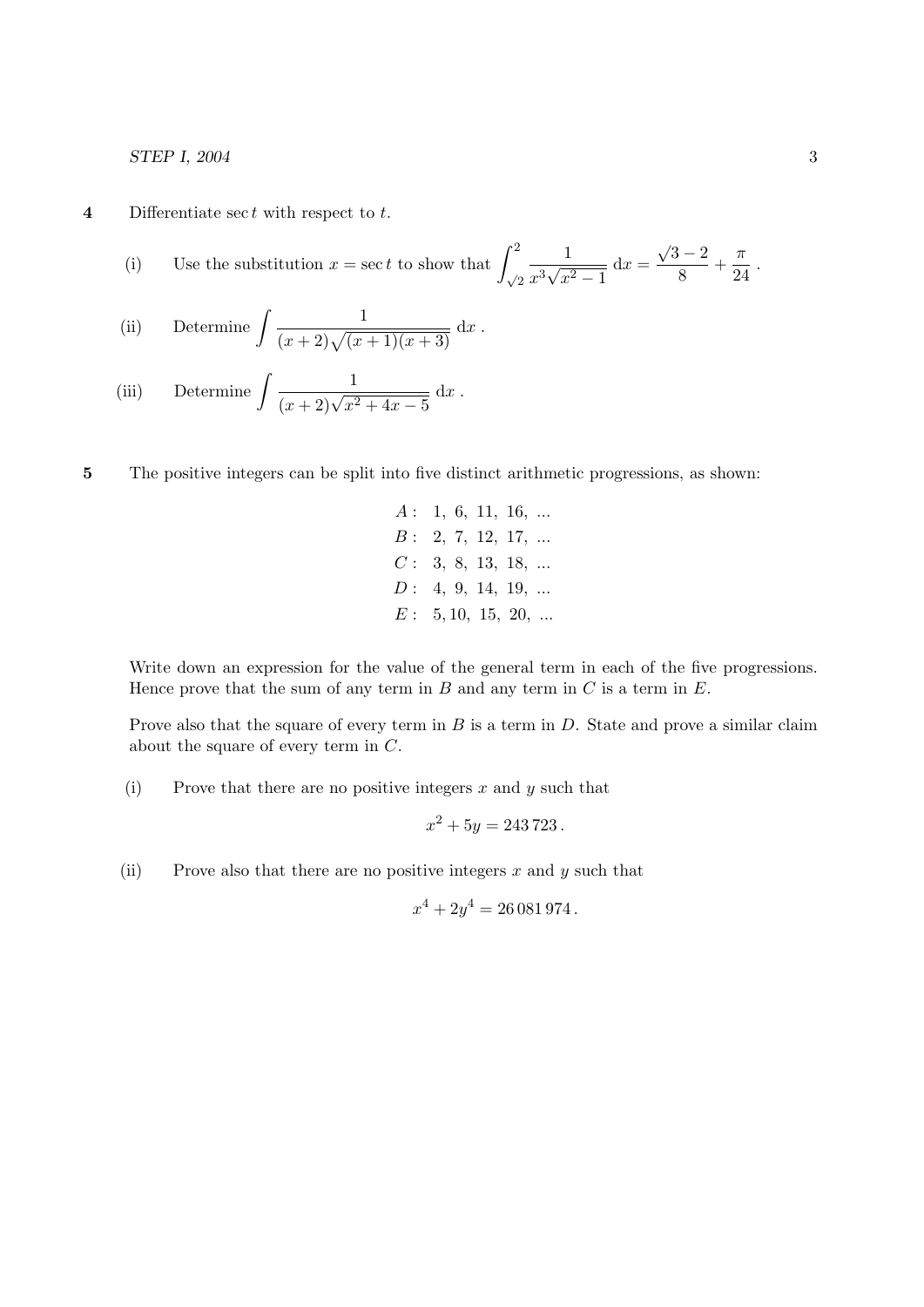**4** Differentiate sec t with respect to  $t$ .

(i) Use the substitution 
$$
x = \sec t
$$
 to show that 
$$
\int_{\sqrt{2}}^2 \frac{1}{x^3 \sqrt{x^2 - 1}} dx = \frac{\sqrt{3} - 2}{8} + \frac{\pi}{24}.
$$

(ii) Determine 
$$
\int \frac{1}{(x+2)\sqrt{(x+1)(x+3)}} dx.
$$

(iii) Determine 
$$
\int \frac{1}{(x+2)\sqrt{x^2+4x-5}} dx.
$$

- 5 The positive integers can be split into five distinct arithmetic progressions, as shown:
	- $A: 1, 6, 11, 16, ...$  $B: 2, 7, 12, 17, ...$  $C: 3, 8, 13, 18, ...$  $D: 4, 9, 14, 19, ...$  $E: 5, 10, 15, 20, ...$

Write down an expression for the value of the general term in each of the five progressions. Hence prove that the sum of any term in  $B$  and any term in  $C$  is a term in  $E$ .

Prove also that the square of every term in  $B$  is a term in  $D$ . State and prove a similar claim about the square of every term in C.

(i) Prove that there are no positive integers  $x$  and  $y$  such that

$$
x^2 + 5y = 243\,723\,.
$$

(ii) Prove also that there are no positive integers  $x$  and  $y$  such that

$$
x^4 + 2y^4 = 26\,081\,974\,.
$$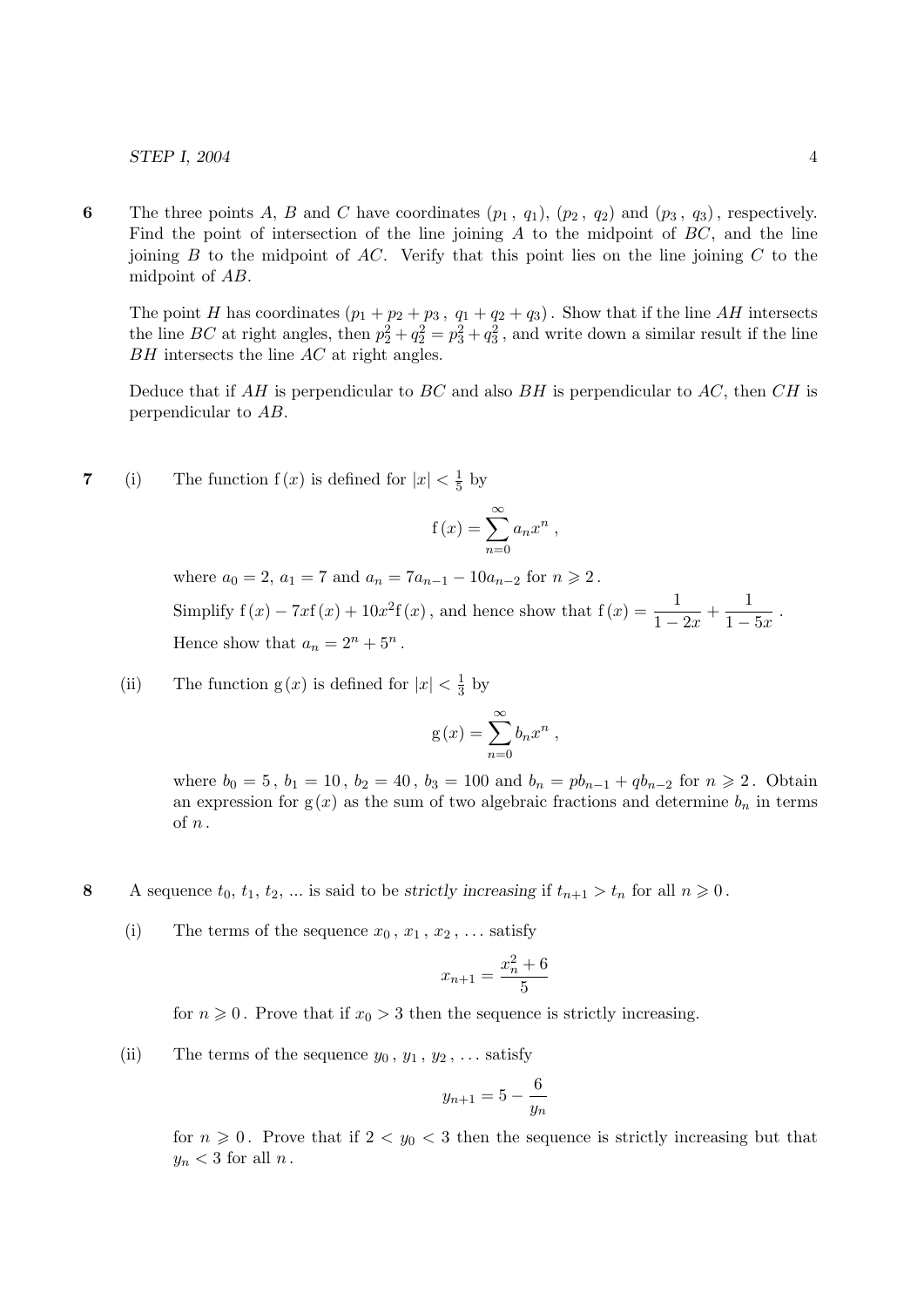6 The three points A, B and C have coordinates  $(p_1, q_1), (p_2, q_2)$  and  $(p_3, q_3)$ , respectively. Find the point of intersection of the line joining  $A$  to the midpoint of  $BC$ , and the line joining  $B$  to the midpoint of  $AC$ . Verify that this point lies on the line joining  $C$  to the midpoint of AB.

The point H has coordinates  $(p_1 + p_2 + p_3, q_1 + q_2 + q_3)$ . Show that if the line AH intersects the line BC at right angles, then  $p_2^2 + q_2^2 = p_3^2 + q_3^2$ , and write down a similar result if the line  $BH$  intersects the line  $AC$  at right angles.

Deduce that if  $AH$  is perpendicular to  $BC$  and also  $BH$  is perpendicular to  $AC$ , then  $CH$  is perpendicular to AB.

7 (i) The function  $f(x)$  is defined for  $|x| < \frac{1}{5}$  $rac{1}{5}$  by

$$
f(x) = \sum_{n=0}^{\infty} a_n x^n ,
$$

where  $a_0 = 2$ ,  $a_1 = 7$  and  $a_n = 7a_{n-1} - 10a_{n-2}$  for  $n \ge 2$ . Simplify  $f(x) - 7xf(x) + 10x^2f(x)$ , and hence show that  $f(x) = \frac{1}{1 - 2x} + \frac{1}{1 - 2x}$  $\frac{1}{1-5x}$ . Hence show that  $a_n = 2^n + 5^n$ .

(ii) The function  $g(x)$  is defined for  $|x| < \frac{1}{3}$  $rac{1}{3}$  by

$$
g(x) = \sum_{n=0}^{\infty} b_n x^n ,
$$

where  $b_0 = 5$ ,  $b_1 = 10$ ,  $b_2 = 40$ ,  $b_3 = 100$  and  $b_n = pb_{n-1} + qb_{n-2}$  for  $n \ge 2$ . Obtain an expression for  $g(x)$  as the sum of two algebraic fractions and determine  $b_n$  in terms of n .

- 8 A sequence  $t_0, t_1, t_2, ...$  is said to be strictly increasing if  $t_{n+1} > t_n$  for all  $n \geq 0$ .
	- (i) The terms of the sequence  $x_0, x_1, x_2, \ldots$  satisfy

$$
x_{n+1} = \frac{x_n^2 + 6}{5}
$$

for  $n \geq 0$ . Prove that if  $x_0 > 3$  then the sequence is strictly increasing.

(ii) The terms of the sequence  $y_0, y_1, y_2, \ldots$  satisfy

$$
y_{n+1} = 5 - \frac{6}{y_n}
$$

for  $n \geq 0$ . Prove that if  $2 < y_0 < 3$  then the sequence is strictly increasing but that  $y_n < 3$  for all n.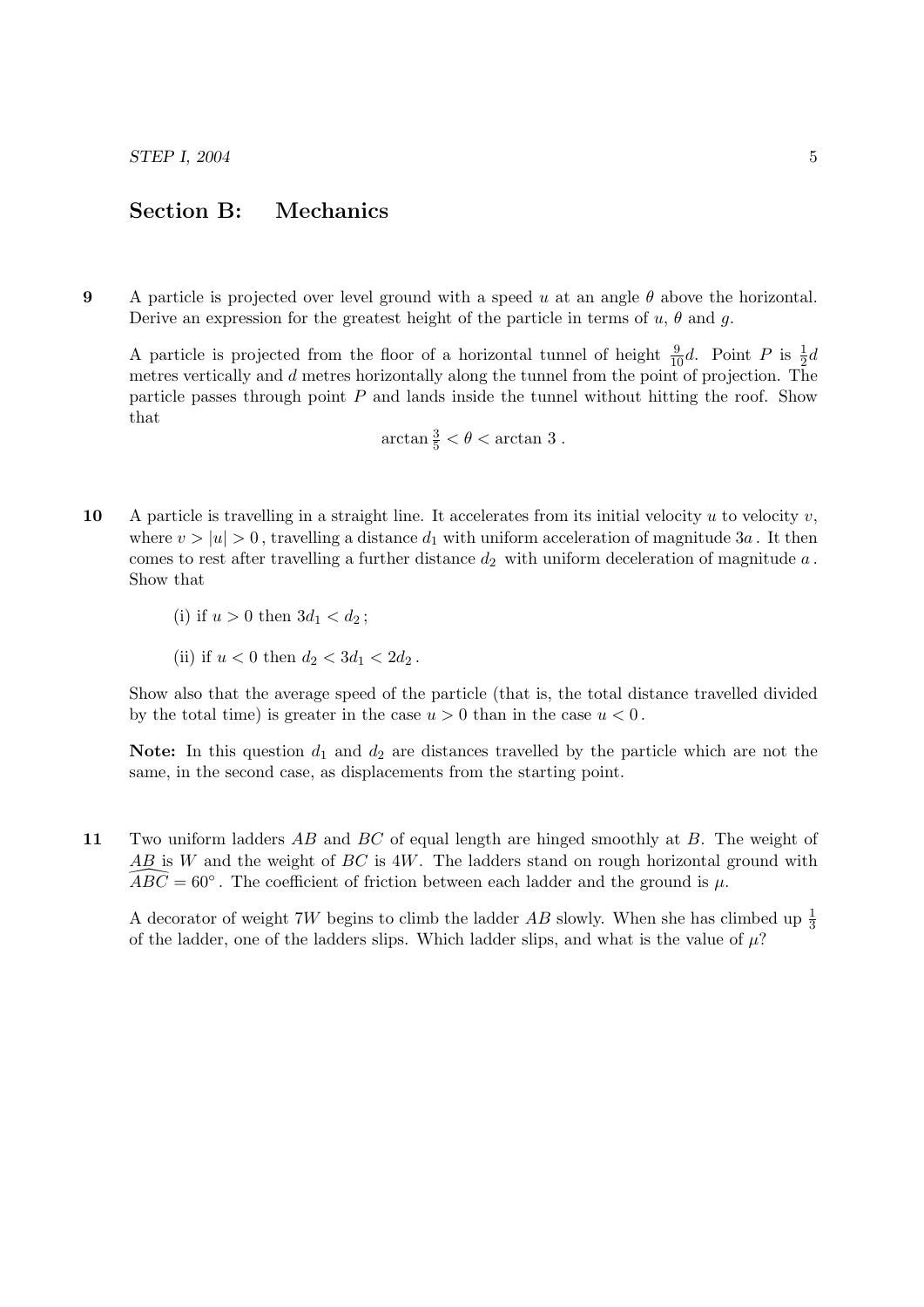## Section B: Mechanics

9 A particle is projected over level ground with a speed u at an angle  $\theta$  above the horizontal. Derive an expression for the greatest height of the particle in terms of  $u, \theta$  and  $g$ .

A particle is projected from the floor of a horizontal tunnel of height  $\frac{9}{10}d$ . Point P is  $\frac{1}{2}d$ metres vertically and  $d$  metres horizontally along the tunnel from the point of projection. The particle passes through point  $P$  and lands inside the tunnel without hitting the roof. Show that

$$
\arctan\frac{3}{5} < \theta < \arctan 3.
$$

- 10 A particle is travelling in a straight line. It accelerates from its initial velocity  $u$  to velocity  $v$ , where  $v > |u| > 0$ , travelling a distance  $d_1$  with uniform acceleration of magnitude 3a. It then comes to rest after travelling a further distance  $d_2$  with uniform deceleration of magnitude  $a$ . Show that
	- (i) if  $u > 0$  then  $3d_1 < d_2$ ;
	- (ii) if  $u < 0$  then  $d_2 < 3d_1 < 2d_2$ .

Show also that the average speed of the particle (that is, the total distance travelled divided by the total time) is greater in the case  $u > 0$  than in the case  $u < 0$ .

Note: In this question  $d_1$  and  $d_2$  are distances travelled by the particle which are not the same, in the second case, as displacements from the starting point.

11 Two uniform ladders AB and BC of equal length are hinged smoothly at B. The weight of  $AB$  is W and the weight of BC is 4W. The ladders stand on rough horizontal ground with  $\widehat{ABC} = 60^{\circ}$ . The coefficient of friction between each ladder and the ground is  $\mu$ .

A decorator of weight 7W begins to climb the ladder  $AB$  slowly. When she has climbed up  $\frac{1}{3}$ of the ladder, one of the ladders slips. Which ladder slips, and what is the value of  $\mu$ ?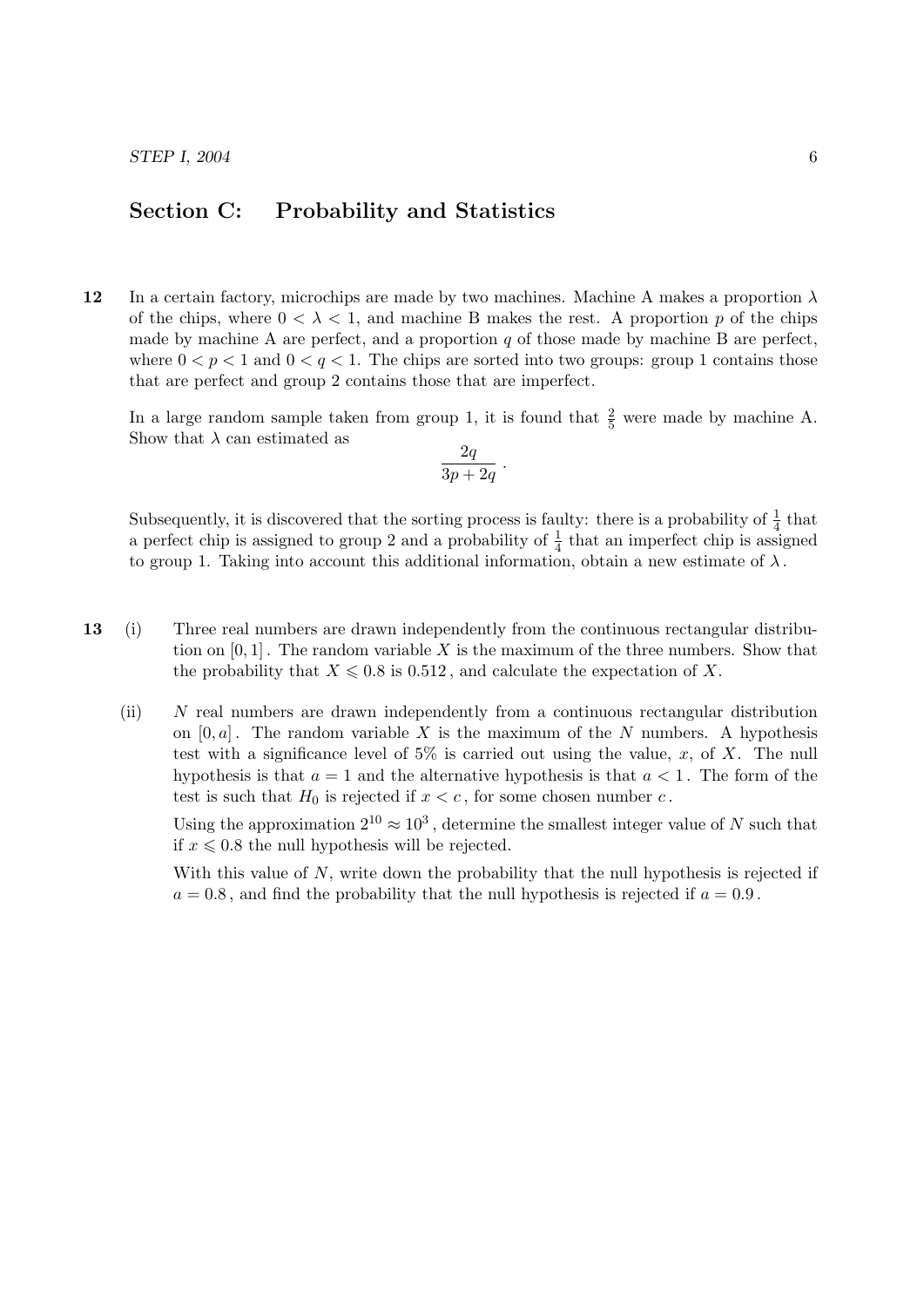## Section C: Probability and Statistics

12 In a certain factory, microchips are made by two machines. Machine A makes a proportion  $\lambda$ of the chips, where  $0 < \lambda < 1$ , and machine B makes the rest. A proportion p of the chips made by machine A are perfect, and a proportion q of those made by machine B are perfect, where  $0 < p < 1$  and  $0 < q < 1$ . The chips are sorted into two groups: group 1 contains those that are perfect and group 2 contains those that are imperfect.

In a large random sample taken from group 1, it is found that  $\frac{2}{5}$  were made by machine A. Show that  $\lambda$  can estimated as

$$
\frac{2q}{3p+2q} .
$$

Subsequently, it is discovered that the sorting process is faulty: there is a probability of  $\frac{1}{4}$  that a perfect chip is assigned to group 2 and a probability of  $\frac{1}{4}$  that an imperfect chip is assigned to group 1. Taking into account this additional information, obtain a new estimate of  $\lambda$ .

- 13 (i) Three real numbers are drawn independently from the continuous rectangular distribution on  $[0, 1]$ . The random variable X is the maximum of the three numbers. Show that the probability that  $X \leq 0.8$  is 0.512, and calculate the expectation of X.
	- (ii) N real numbers are drawn independently from a continuous rectangular distribution on  $[0, a]$ . The random variable X is the maximum of the N numbers. A hypothesis test with a significance level of  $5\%$  is carried out using the value, x, of X. The null hypothesis is that  $a = 1$  and the alternative hypothesis is that  $a < 1$ . The form of the test is such that  $H_0$  is rejected if  $x < c$ , for some chosen number c.

Using the approximation  $2^{10} \approx 10^3$ , determine the smallest integer value of N such that if  $x \leq 0.8$  the null hypothesis will be rejected.

With this value of  $N$ , write down the probability that the null hypothesis is rejected if  $a = 0.8$ , and find the probability that the null hypothesis is rejected if  $a = 0.9$ .